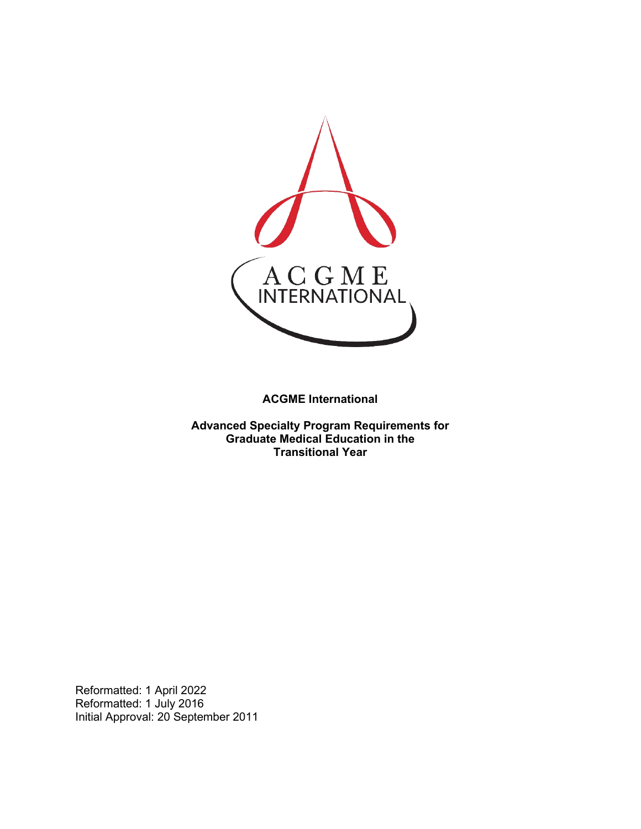

**ACGME International** 

**Advanced Specialty Program Requirements for Graduate Medical Education in the Transitional Year**

Reformatted: 1 April 2022 Reformatted: 1 July 2016 Initial Approval: 20 September 2011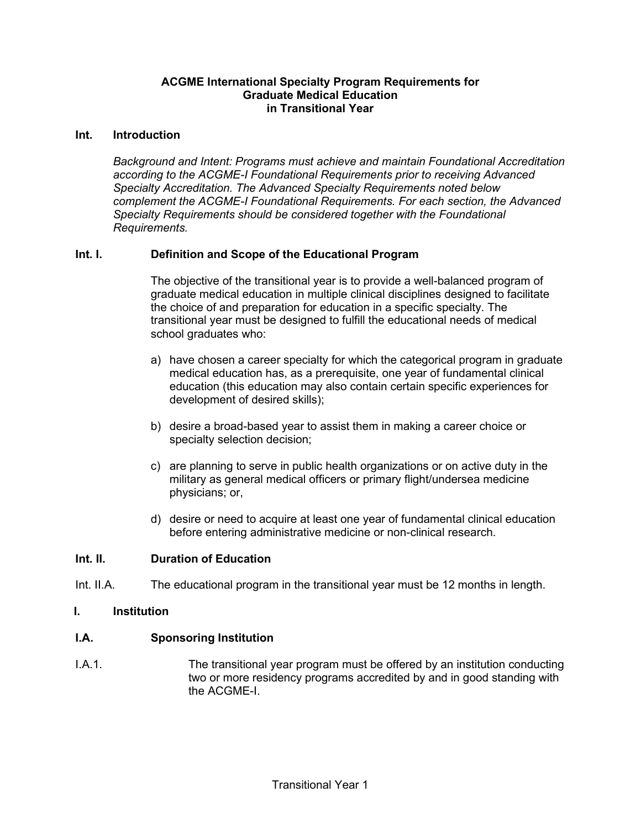# **ACGME International Specialty Program Requirements for Graduate Medical Education in Transitional Year**

#### **Int. Introduction**

*Background and Intent: Programs must achieve and maintain Foundational Accreditation according to the ACGME-I Foundational Requirements prior to receiving Advanced Specialty Accreditation. The Advanced Specialty Requirements noted below complement the ACGME-I Foundational Requirements. For each section, the Advanced Specialty Requirements should be considered together with the Foundational Requirements.*

# **Int. I. Definition and Scope of the Educational Program**

The objective of the transitional year is to provide a well-balanced program of graduate medical education in multiple clinical disciplines designed to facilitate the choice of and preparation for education in a specific specialty. The transitional year must be designed to fulfill the educational needs of medical school graduates who:

- a) have chosen a career specialty for which the categorical program in graduate medical education has, as a prerequisite, one year of fundamental clinical education (this education may also contain certain specific experiences for development of desired skills);
- b) desire a broad-based year to assist them in making a career choice or specialty selection decision;
- c) are planning to serve in public health organizations or on active duty in the military as general medical officers or primary flight/undersea medicine physicians; or,
- d) desire or need to acquire at least one year of fundamental clinical education before entering administrative medicine or non-clinical research.

# **Int. II. Duration of Education**

Int. II.A. The educational program in the transitional year must be 12 months in length.

#### **I. Institution**

# **I.A. Sponsoring Institution**

I.A.1. The transitional year program must be offered by an institution conducting two or more residency programs accredited by and in good standing with the ACGMF-I.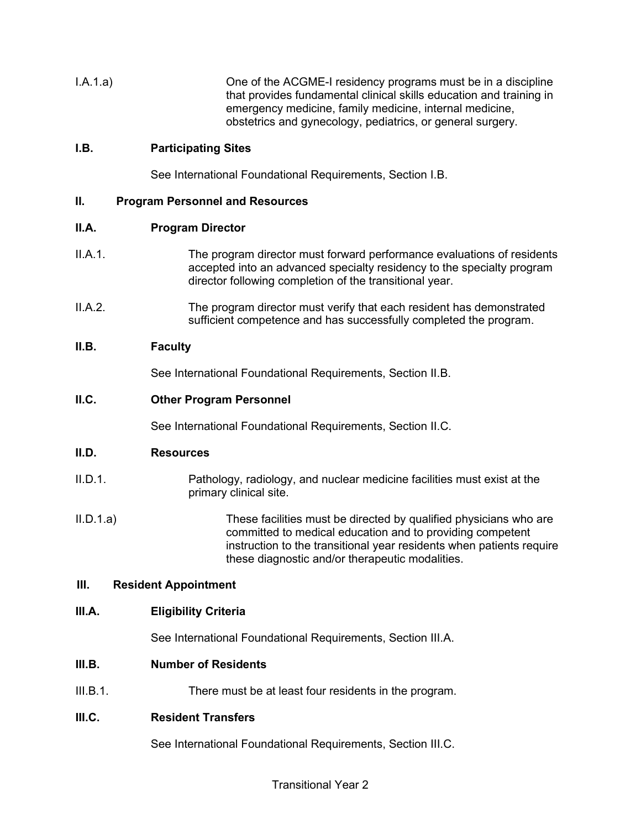I.A.1.a) One of the ACGME-I residency programs must be in a discipline that provides fundamental clinical skills education and training in emergency medicine, family medicine, internal medicine, obstetrics and gynecology, pediatrics, or general surgery.

# **I.B. Participating Sites**

See International Foundational Requirements, Section I.B.

# **II. Program Personnel and Resources**

# **II.A. Program Director**

- II.A.1. The program director must forward performance evaluations of residents accepted into an advanced specialty residency to the specialty program director following completion of the transitional year.
- II.A.2. The program director must verify that each resident has demonstrated sufficient competence and has successfully completed the program.

# **II.B. Faculty**

See International Foundational Requirements, Section II.B.

#### **II.C. Other Program Personnel**

See International Foundational Requirements, Section II.C.

# **II.D. Resources**

- II.D.1. Pathology, radiology, and nuclear medicine facilities must exist at the primary clinical site.
- II.D.1.a) These facilities must be directed by qualified physicians who are committed to medical education and to providing competent instruction to the transitional year residents when patients require these diagnostic and/or therapeutic modalities.

#### **III. Resident Appointment**

# **III.A. Eligibility Criteria**

See International Foundational Requirements, Section III.A.

#### **III.B. Number of Residents**

III.B.1. There must be at least four residents in the program.

# **III.C. Resident Transfers**

See International Foundational Requirements, Section III.C.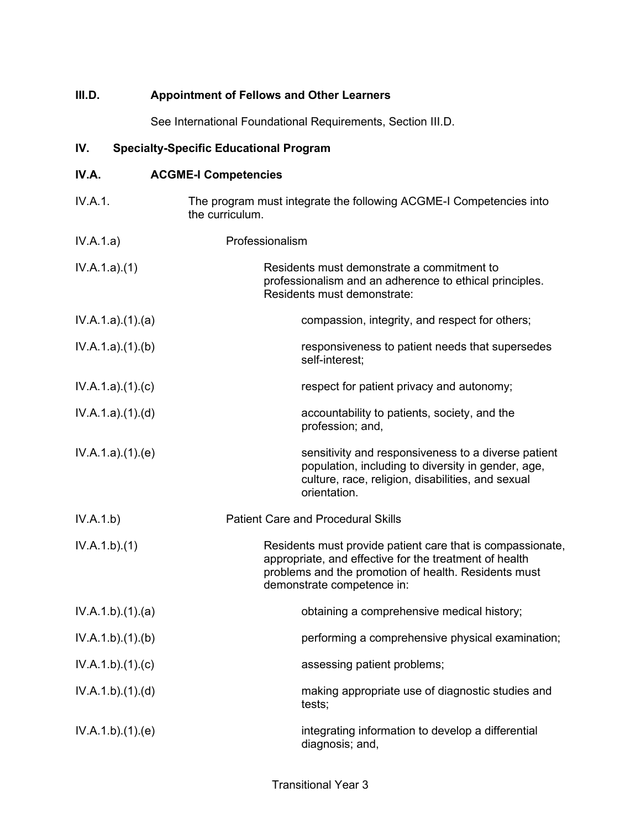| III.D.         |                 | <b>Appointment of Fellows and Other Learners</b>                                                                                                                                                           |
|----------------|-----------------|------------------------------------------------------------------------------------------------------------------------------------------------------------------------------------------------------------|
|                |                 | See International Foundational Requirements, Section III.D.                                                                                                                                                |
| IV.            |                 | <b>Specialty-Specific Educational Program</b>                                                                                                                                                              |
| IV.A.          |                 | <b>ACGME-I Competencies</b>                                                                                                                                                                                |
| <b>IV.A.1.</b> |                 | The program must integrate the following ACGME-I Competencies into<br>the curriculum.                                                                                                                      |
| IV.A.1.a)      |                 | Professionalism                                                                                                                                                                                            |
| IV.A.1.a)(1)   |                 | Residents must demonstrate a commitment to<br>professionalism and an adherence to ethical principles.<br>Residents must demonstrate:                                                                       |
|                | IV.A.1.a)(1)(a) | compassion, integrity, and respect for others;                                                                                                                                                             |
|                | IV.A.1.a)(1)(b) | responsiveness to patient needs that supersedes<br>self-interest;                                                                                                                                          |
|                | IV.A.1.a)(1)(c) | respect for patient privacy and autonomy;                                                                                                                                                                  |
|                | IV.A.1.a)(1)(d) | accountability to patients, society, and the<br>profession; and,                                                                                                                                           |
|                | IV.A.1.a)(1)(e) | sensitivity and responsiveness to a diverse patient<br>population, including to diversity in gender, age,<br>culture, race, religion, disabilities, and sexual<br>orientation.                             |
| IV.A.1.b)      |                 | <b>Patient Care and Procedural Skills</b>                                                                                                                                                                  |
| IV.A.1.b)(1)   |                 | Residents must provide patient care that is compassionate,<br>appropriate, and effective for the treatment of health<br>problems and the promotion of health. Residents must<br>demonstrate competence in: |
|                | IV.A.1.b)(1)(a) | obtaining a comprehensive medical history;                                                                                                                                                                 |
|                | IV.A.1.b)(1)(b) | performing a comprehensive physical examination;                                                                                                                                                           |
|                | IV.A.1.b)(1)(c) | assessing patient problems;                                                                                                                                                                                |
|                | IV.A.1.b)(1)(d) | making appropriate use of diagnostic studies and<br>tests;                                                                                                                                                 |
|                | IV.A.1.b)(1)(e) | integrating information to develop a differential<br>diagnosis; and,                                                                                                                                       |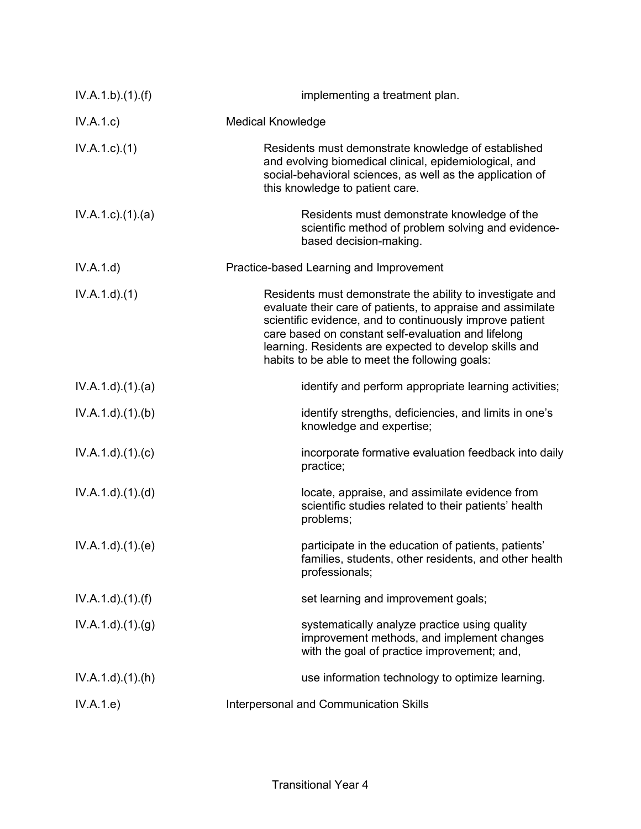| IV.A.1.b)(1)(f)              | implementing a treatment plan.                                                                                                                                                                                                                                                                                                                          |
|------------------------------|---------------------------------------------------------------------------------------------------------------------------------------------------------------------------------------------------------------------------------------------------------------------------------------------------------------------------------------------------------|
| IV.A.1.c)                    | <b>Medical Knowledge</b>                                                                                                                                                                                                                                                                                                                                |
| IV.A.1.c.)(1)                | Residents must demonstrate knowledge of established<br>and evolving biomedical clinical, epidemiological, and<br>social-behavioral sciences, as well as the application of<br>this knowledge to patient care.                                                                                                                                           |
| $IV.A.1.c$ . $(1).$ $(a)$    | Residents must demonstrate knowledge of the<br>scientific method of problem solving and evidence-<br>based decision-making.                                                                                                                                                                                                                             |
| IV.A.1.d)                    | Practice-based Learning and Improvement                                                                                                                                                                                                                                                                                                                 |
| IV.A.1.d.(1)                 | Residents must demonstrate the ability to investigate and<br>evaluate their care of patients, to appraise and assimilate<br>scientific evidence, and to continuously improve patient<br>care based on constant self-evaluation and lifelong<br>learning. Residents are expected to develop skills and<br>habits to be able to meet the following goals: |
| IV.A.1.d.(1).(a)             | identify and perform appropriate learning activities;                                                                                                                                                                                                                                                                                                   |
| IV.A.1.d)(1)(b)              | identify strengths, deficiencies, and limits in one's<br>knowledge and expertise;                                                                                                                                                                                                                                                                       |
| IV.A.1.d)(1)(c)              | incorporate formative evaluation feedback into daily<br>practice;                                                                                                                                                                                                                                                                                       |
| IV.A.1.d.(1).(d)             | locate, appraise, and assimilate evidence from<br>scientific studies related to their patients' health<br>problems;                                                                                                                                                                                                                                     |
| IV.A.1.d)(1)(e)              | participate in the education of patients, patients'<br>families, students, other residents, and other health<br>professionals;                                                                                                                                                                                                                          |
| IV.A.1.d)(1.(f))             | set learning and improvement goals;                                                                                                                                                                                                                                                                                                                     |
| IV.A.1.d.(1). <sub>(g)</sub> | systematically analyze practice using quality<br>improvement methods, and implement changes<br>with the goal of practice improvement; and,                                                                                                                                                                                                              |
| $IV.A.1.d$ . $(1).(h)$       | use information technology to optimize learning.                                                                                                                                                                                                                                                                                                        |
| IV.A.1.e)                    | Interpersonal and Communication Skills                                                                                                                                                                                                                                                                                                                  |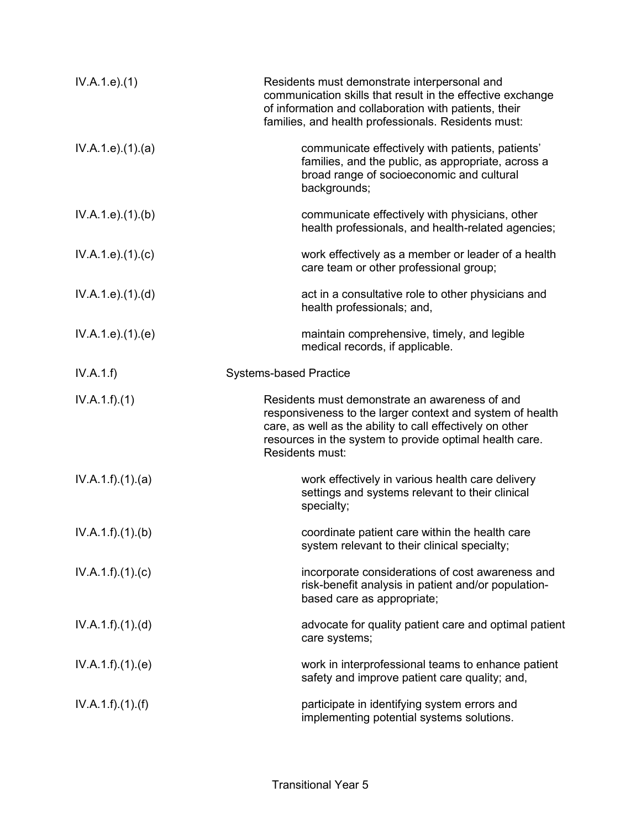| IV.A.1.e. (1)      | Residents must demonstrate interpersonal and<br>communication skills that result in the effective exchange<br>of information and collaboration with patients, their<br>families, and health professionals. Residents must:                             |
|--------------------|--------------------------------------------------------------------------------------------------------------------------------------------------------------------------------------------------------------------------------------------------------|
| IV.A.1.e. (1). (a) | communicate effectively with patients, patients'<br>families, and the public, as appropriate, across a<br>broad range of socioeconomic and cultural<br>backgrounds;                                                                                    |
| IV.A.1.e. (1)(b)   | communicate effectively with physicians, other<br>health professionals, and health-related agencies;                                                                                                                                                   |
| IV.A.1.e. (1). (c) | work effectively as a member or leader of a health<br>care team or other professional group;                                                                                                                                                           |
| IV.A.1.e. (1). (d) | act in a consultative role to other physicians and<br>health professionals; and,                                                                                                                                                                       |
| IV.A.1.e. (1). (e) | maintain comprehensive, timely, and legible<br>medical records, if applicable.                                                                                                                                                                         |
| IV.A.1.f)          | <b>Systems-based Practice</b>                                                                                                                                                                                                                          |
| IV.A.1.f)(1)       | Residents must demonstrate an awareness of and<br>responsiveness to the larger context and system of health<br>care, as well as the ability to call effectively on other<br>resources in the system to provide optimal health care.<br>Residents must: |
| IV.A.1.f)(1)(a)    | work effectively in various health care delivery<br>settings and systems relevant to their clinical<br>specialty;                                                                                                                                      |
| IV.A.1.f)(1)(b)    | coordinate patient care within the health care<br>system relevant to their clinical specialty;                                                                                                                                                         |
| IV.A.1.f)(1)(c)    | incorporate considerations of cost awareness and<br>risk-benefit analysis in patient and/or population-<br>based care as appropriate;                                                                                                                  |
| IV.A.1.f)(1)(d)    | advocate for quality patient care and optimal patient<br>care systems;                                                                                                                                                                                 |
| IV.A.1.f)(1)(e)    | work in interprofessional teams to enhance patient<br>safety and improve patient care quality; and,                                                                                                                                                    |
| IV.A.1.f)(1)(f)    | participate in identifying system errors and<br>implementing potential systems solutions.                                                                                                                                                              |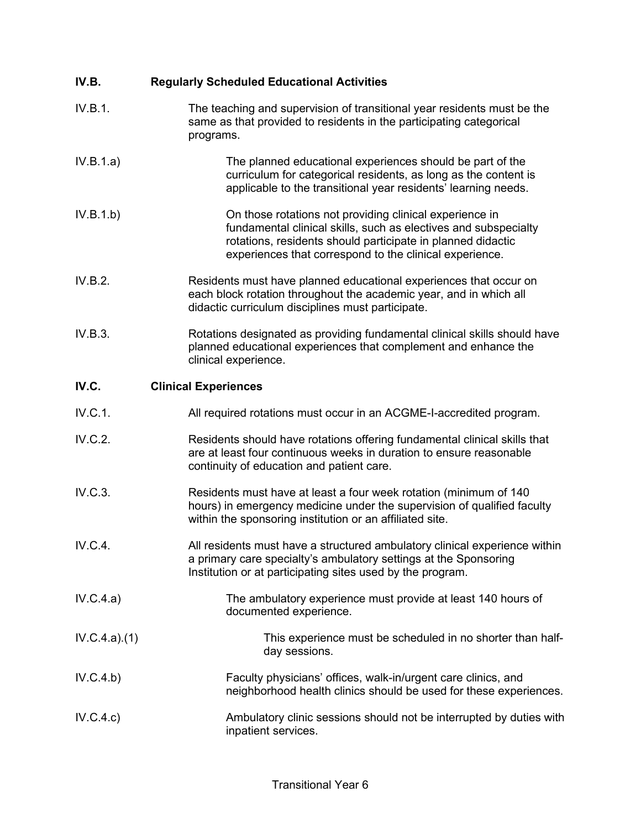| IV.B.        | <b>Regularly Scheduled Educational Activities</b>                                                                                                                                                                                                    |
|--------------|------------------------------------------------------------------------------------------------------------------------------------------------------------------------------------------------------------------------------------------------------|
| IV.B.1.      | The teaching and supervision of transitional year residents must be the<br>same as that provided to residents in the participating categorical<br>programs.                                                                                          |
| IV.B.1.a)    | The planned educational experiences should be part of the<br>curriculum for categorical residents, as long as the content is<br>applicable to the transitional year residents' learning needs.                                                       |
| IV.B.1.b)    | On those rotations not providing clinical experience in<br>fundamental clinical skills, such as electives and subspecialty<br>rotations, residents should participate in planned didactic<br>experiences that correspond to the clinical experience. |
| IV.B.2.      | Residents must have planned educational experiences that occur on<br>each block rotation throughout the academic year, and in which all<br>didactic curriculum disciplines must participate.                                                         |
| IV.B.3.      | Rotations designated as providing fundamental clinical skills should have<br>planned educational experiences that complement and enhance the<br>clinical experience.                                                                                 |
| IV.C.        | <b>Clinical Experiences</b>                                                                                                                                                                                                                          |
| IV.C.1.      | All required rotations must occur in an ACGME-I-accredited program.                                                                                                                                                                                  |
| IV.C.2.      | Residents should have rotations offering fundamental clinical skills that<br>are at least four continuous weeks in duration to ensure reasonable<br>continuity of education and patient care.                                                        |
| IV.C.3.      | Residents must have at least a four week rotation (minimum of 140<br>hours) in emergency medicine under the supervision of qualified faculty<br>within the sponsoring institution or an affiliated site.                                             |
| IV.C.4.      | All residents must have a structured ambulatory clinical experience within<br>a primary care specialty's ambulatory settings at the Sponsoring<br>Institution or at participating sites used by the program.                                         |
| IV.C.4.a)    | The ambulatory experience must provide at least 140 hours of<br>documented experience.                                                                                                                                                               |
| IV.C.4.a)(1) | This experience must be scheduled in no shorter than half-<br>day sessions.                                                                                                                                                                          |
| IV.C.4.b)    | Faculty physicians' offices, walk-in/urgent care clinics, and<br>neighborhood health clinics should be used for these experiences.                                                                                                                   |
| IV.C.4.c)    | Ambulatory clinic sessions should not be interrupted by duties with<br>inpatient services.                                                                                                                                                           |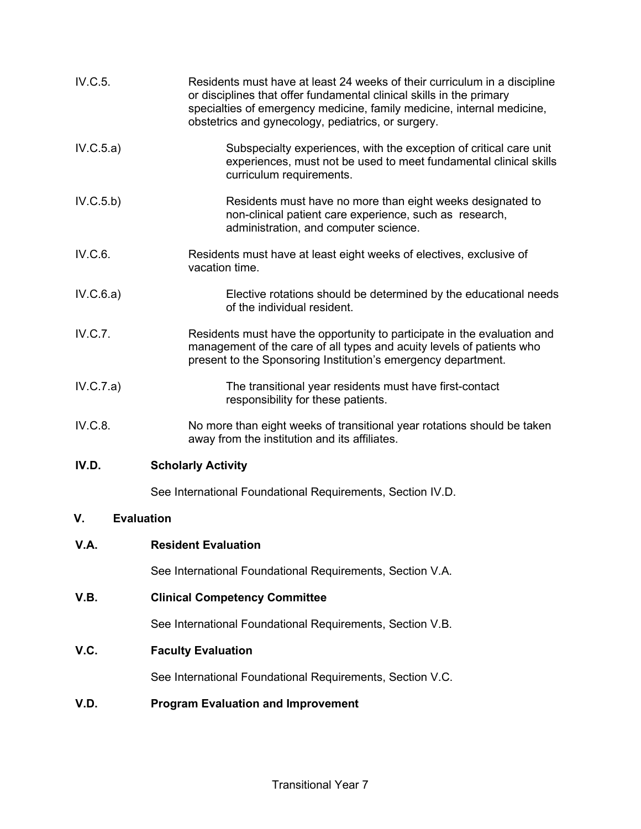| IV.C.5.                 | Residents must have at least 24 weeks of their curriculum in a discipline<br>or disciplines that offer fundamental clinical skills in the primary<br>specialties of emergency medicine, family medicine, internal medicine,<br>obstetrics and gynecology, pediatrics, or surgery. |
|-------------------------|-----------------------------------------------------------------------------------------------------------------------------------------------------------------------------------------------------------------------------------------------------------------------------------|
| IV.C.5.a)               | Subspecialty experiences, with the exception of critical care unit<br>experiences, must not be used to meet fundamental clinical skills<br>curriculum requirements.                                                                                                               |
| IV.C.5.b)               | Residents must have no more than eight weeks designated to<br>non-clinical patient care experience, such as research,<br>administration, and computer science.                                                                                                                    |
| IV.C.6.                 | Residents must have at least eight weeks of electives, exclusive of<br>vacation time.                                                                                                                                                                                             |
| IV.C.6.a)               | Elective rotations should be determined by the educational needs<br>of the individual resident.                                                                                                                                                                                   |
| IV.C.7.                 | Residents must have the opportunity to participate in the evaluation and<br>management of the care of all types and acuity levels of patients who<br>present to the Sponsoring Institution's emergency department.                                                                |
| IV.C.7.a)               | The transitional year residents must have first-contact<br>responsibility for these patients.                                                                                                                                                                                     |
| IV.C.8.                 | No more than eight weeks of transitional year rotations should be taken<br>away from the institution and its affiliates.                                                                                                                                                          |
| IV.D.                   | <b>Scholarly Activity</b>                                                                                                                                                                                                                                                         |
|                         | See International Foundational Requirements, Section IV.D.                                                                                                                                                                                                                        |
| V.<br><b>Evaluation</b> |                                                                                                                                                                                                                                                                                   |
| V.A.                    | <b>Resident Evaluation</b>                                                                                                                                                                                                                                                        |
|                         | See International Foundational Requirements, Section V.A.                                                                                                                                                                                                                         |
| V.B.                    | <b>Clinical Competency Committee</b>                                                                                                                                                                                                                                              |
|                         | See International Foundational Requirements, Section V.B.                                                                                                                                                                                                                         |
| V.C.                    | <b>Faculty Evaluation</b>                                                                                                                                                                                                                                                         |

See International Foundational Requirements, Section V.C.

# **V.D. Program Evaluation and Improvement**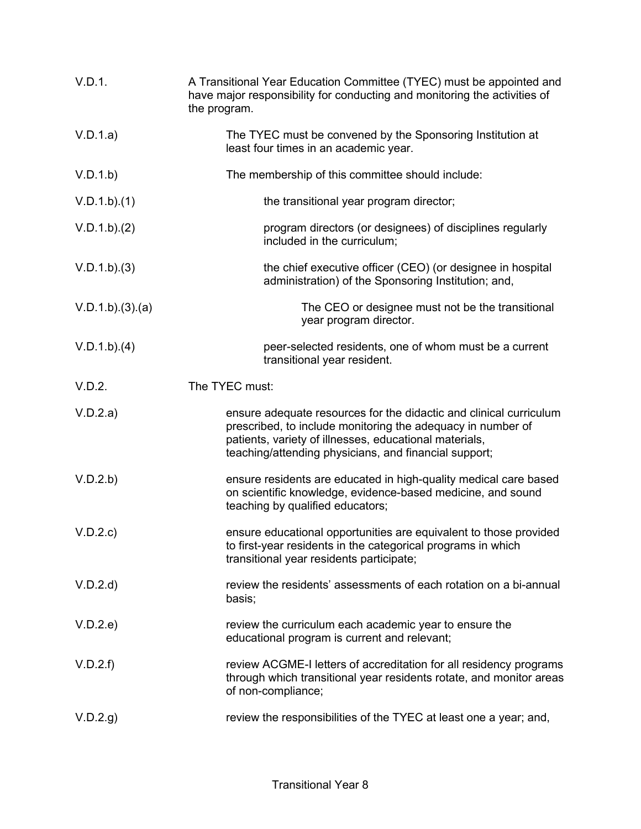| V.D.1.         | A Transitional Year Education Committee (TYEC) must be appointed and<br>have major responsibility for conducting and monitoring the activities of<br>the program.                                                                                    |
|----------------|------------------------------------------------------------------------------------------------------------------------------------------------------------------------------------------------------------------------------------------------------|
| V.D.1.a)       | The TYEC must be convened by the Sponsoring Institution at<br>least four times in an academic year.                                                                                                                                                  |
| V.D.1.b)       | The membership of this committee should include:                                                                                                                                                                                                     |
| V.D.1.b)(1)    | the transitional year program director;                                                                                                                                                                                                              |
| V.D.1.b)(2)    | program directors (or designees) of disciplines regularly<br>included in the curriculum;                                                                                                                                                             |
| V.D.1.b)(3)    | the chief executive officer (CEO) (or designee in hospital<br>administration) of the Sponsoring Institution; and,                                                                                                                                    |
| V.D.1.b)(3)(a) | The CEO or designee must not be the transitional<br>year program director.                                                                                                                                                                           |
| V.D.1.b)(4)    | peer-selected residents, one of whom must be a current<br>transitional year resident.                                                                                                                                                                |
| V.D.2.         | The TYEC must:                                                                                                                                                                                                                                       |
| V.D.2.a)       | ensure adequate resources for the didactic and clinical curriculum<br>prescribed, to include monitoring the adequacy in number of<br>patients, variety of illnesses, educational materials,<br>teaching/attending physicians, and financial support; |
| V.D.2.b)       | ensure residents are educated in high-quality medical care based<br>on scientific knowledge, evidence-based medicine, and sound<br>teaching by qualified educators;                                                                                  |
| V.D.2.c        | ensure educational opportunities are equivalent to those provided<br>to first-year residents in the categorical programs in which<br>transitional year residents participate;                                                                        |
| V.D.2.d        | review the residents' assessments of each rotation on a bi-annual<br>basis;                                                                                                                                                                          |
| V.D.2.e)       | review the curriculum each academic year to ensure the<br>educational program is current and relevant;                                                                                                                                               |
| V.D.2.f        | review ACGME-I letters of accreditation for all residency programs<br>through which transitional year residents rotate, and monitor areas<br>of non-compliance;                                                                                      |
| V.D.2.g        | review the responsibilities of the TYEC at least one a year; and,                                                                                                                                                                                    |